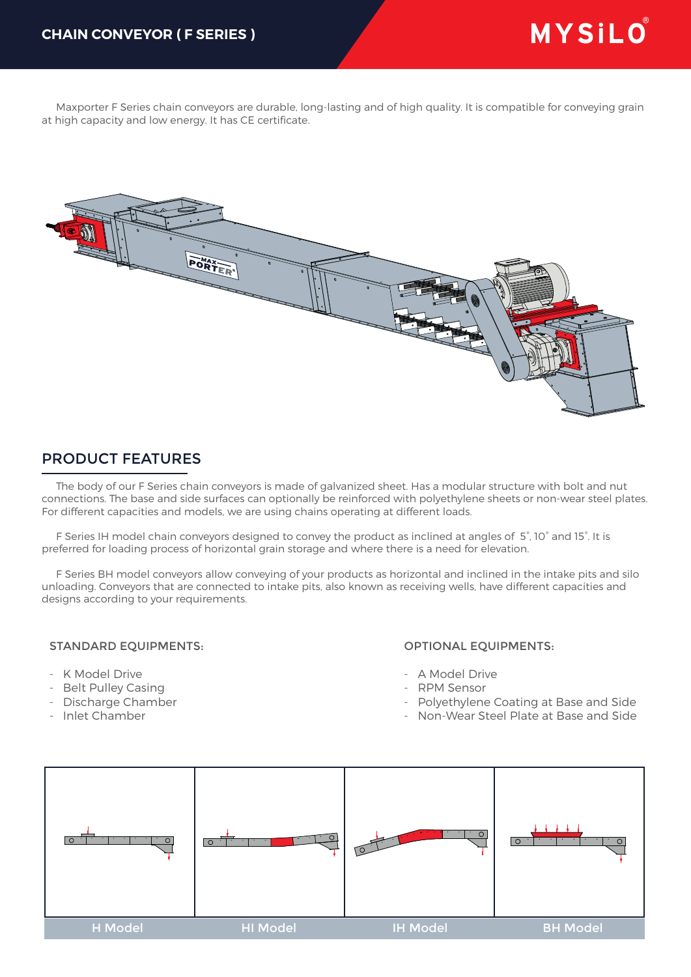Maxporter F Series chain conveyors are durable, long-lasting and of high quality. It is compatible for conveying grain at high capacity and low energy. It has CE certificate.



## PRODUCT FEATURES

 The body of our F Series chain conveyors is made of galvanized sheet. Has a modular structure with bolt and nut connections. The base and side surfaces can optionally be reinforced with polyethylene sheets or non-wear steel plates. For different capacities and models, we are using chains operating at different loads.

 F Series IH model chain conveyors designed to convey the product as inclined at angles of 5°, 10° and 15°. It is preferred for loading process of horizontal grain storage and where there is a need for elevation.

 F Series BH model conveyors allow conveying of your products as horizontal and inclined in the intake pits and silo unloading. Conveyors that are connected to intake pits, also known as receiving wells, have different capacities and designs according to your requirements.

## STANDARD EQUIPMENTS:

- K Model Drive
- Belt Pulley Casing
- Discharge Chamber
- Inlet Chamber

## OPTIONAL EQUIPMENTS:

- A Model Drive
- RPM Sensor
- Polyethylene Coating at Base and Side
- Non-Wear Steel Plate at Base and Side